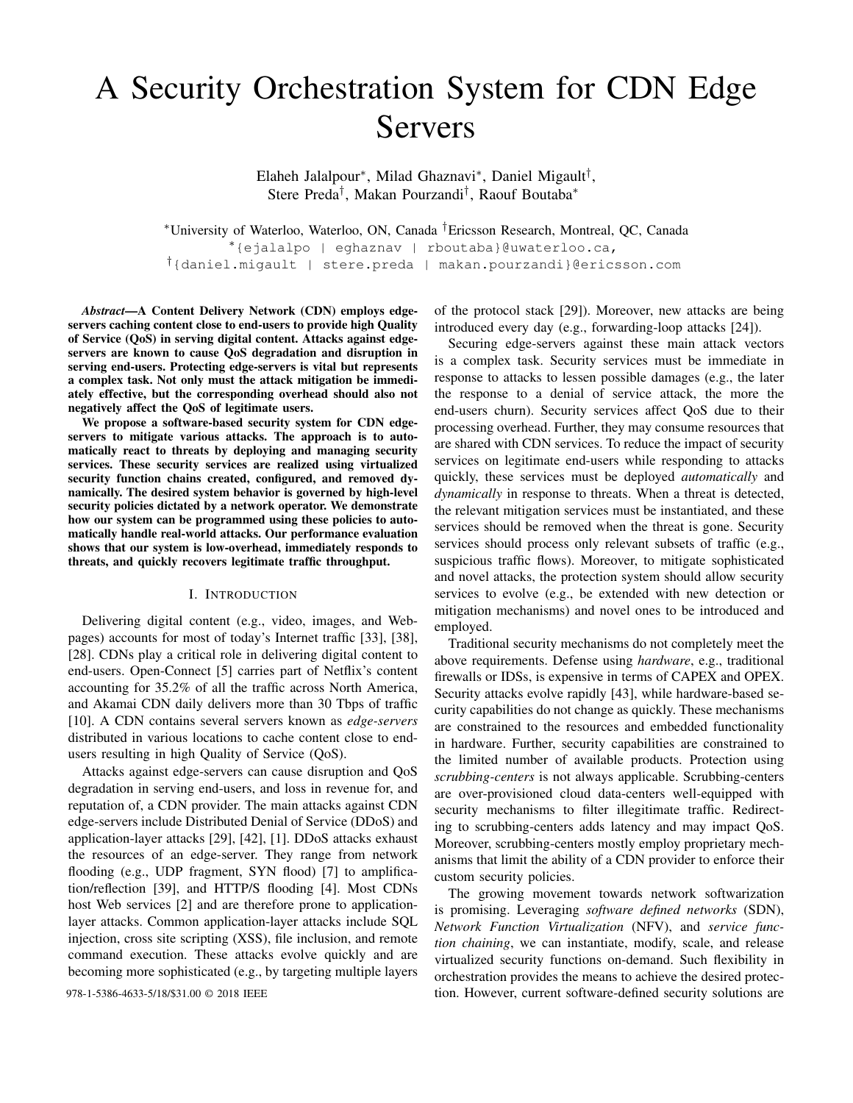# A Security Orchestration System for CDN Edge Servers

Elaheh Jalalpour<sup>∗</sup> , Milad Ghaznavi<sup>∗</sup> , Daniel Migault† , Stere Preda† , Makan Pourzandi† , Raouf Boutaba<sup>∗</sup>

<sup>∗</sup>University of Waterloo, Waterloo, ON, Canada †Ericsson Research, Montreal, QC, Canada <sup>∗</sup>{ejalalpo | eghaznav | rboutaba}@uwaterloo.ca,

†{daniel.migault | stere.preda | makan.pourzandi}@ericsson.com

*Abstract*—A Content Delivery Network (CDN) employs edgeservers caching content close to end-users to provide high Quality of Service (QoS) in serving digital content. Attacks against edgeservers are known to cause QoS degradation and disruption in serving end-users. Protecting edge-servers is vital but represents a complex task. Not only must the attack mitigation be immediately effective, but the corresponding overhead should also not negatively affect the QoS of legitimate users.

We propose a software-based security system for CDN edgeservers to mitigate various attacks. The approach is to automatically react to threats by deploying and managing security services. These security services are realized using virtualized security function chains created, configured, and removed dynamically. The desired system behavior is governed by high-level security policies dictated by a network operator. We demonstrate how our system can be programmed using these policies to automatically handle real-world attacks. Our performance evaluation shows that our system is low-overhead, immediately responds to threats, and quickly recovers legitimate traffic throughput.

# I. INTRODUCTION

Delivering digital content (e.g., video, images, and Webpages) accounts for most of today's Internet traffic [33], [38], [28]. CDNs play a critical role in delivering digital content to end-users. Open-Connect [5] carries part of Netflix's content accounting for 35.2% of all the traffic across North America, and Akamai CDN daily delivers more than 30 Tbps of traffic [10]. A CDN contains several servers known as *edge-servers* distributed in various locations to cache content close to endusers resulting in high Quality of Service (QoS).

Attacks against edge-servers can cause disruption and QoS degradation in serving end-users, and loss in revenue for, and reputation of, a CDN provider. The main attacks against CDN edge-servers include Distributed Denial of Service (DDoS) and application-layer attacks [29], [42], [1]. DDoS attacks exhaust the resources of an edge-server. They range from network flooding (e.g., UDP fragment, SYN flood) [7] to amplification/reflection [39], and HTTP/S flooding [4]. Most CDNs host Web services [2] and are therefore prone to applicationlayer attacks. Common application-layer attacks include SQL injection, cross site scripting (XSS), file inclusion, and remote command execution. These attacks evolve quickly and are becoming more sophisticated (e.g., by targeting multiple layers

of the protocol stack [29]). Moreover, new attacks are being introduced every day (e.g., forwarding-loop attacks [24]).

Securing edge-servers against these main attack vectors is a complex task. Security services must be immediate in response to attacks to lessen possible damages (e.g., the later the response to a denial of service attack, the more the end-users churn). Security services affect QoS due to their processing overhead. Further, they may consume resources that are shared with CDN services. To reduce the impact of security services on legitimate end-users while responding to attacks quickly, these services must be deployed *automatically* and *dynamically* in response to threats. When a threat is detected, the relevant mitigation services must be instantiated, and these services should be removed when the threat is gone. Security services should process only relevant subsets of traffic (e.g., suspicious traffic flows). Moreover, to mitigate sophisticated and novel attacks, the protection system should allow security services to evolve (e.g., be extended with new detection or mitigation mechanisms) and novel ones to be introduced and employed.

Traditional security mechanisms do not completely meet the above requirements. Defense using *hardware*, e.g., traditional firewalls or IDSs, is expensive in terms of CAPEX and OPEX. Security attacks evolve rapidly [43], while hardware-based security capabilities do not change as quickly. These mechanisms are constrained to the resources and embedded functionality in hardware. Further, security capabilities are constrained to the limited number of available products. Protection using *scrubbing-centers* is not always applicable. Scrubbing-centers are over-provisioned cloud data-centers well-equipped with security mechanisms to filter illegitimate traffic. Redirecting to scrubbing-centers adds latency and may impact QoS. Moreover, scrubbing-centers mostly employ proprietary mechanisms that limit the ability of a CDN provider to enforce their custom security policies.

The growing movement towards network softwarization is promising. Leveraging *software defined networks* (SDN), *Network Function Virtualization* (NFV), and *service function chaining*, we can instantiate, modify, scale, and release virtualized security functions on-demand. Such flexibility in orchestration provides the means to achieve the desired protec-978-1-5386-4633-5/18/\$31.00 © 2018 IEEE tion. However, current software-defined security solutions are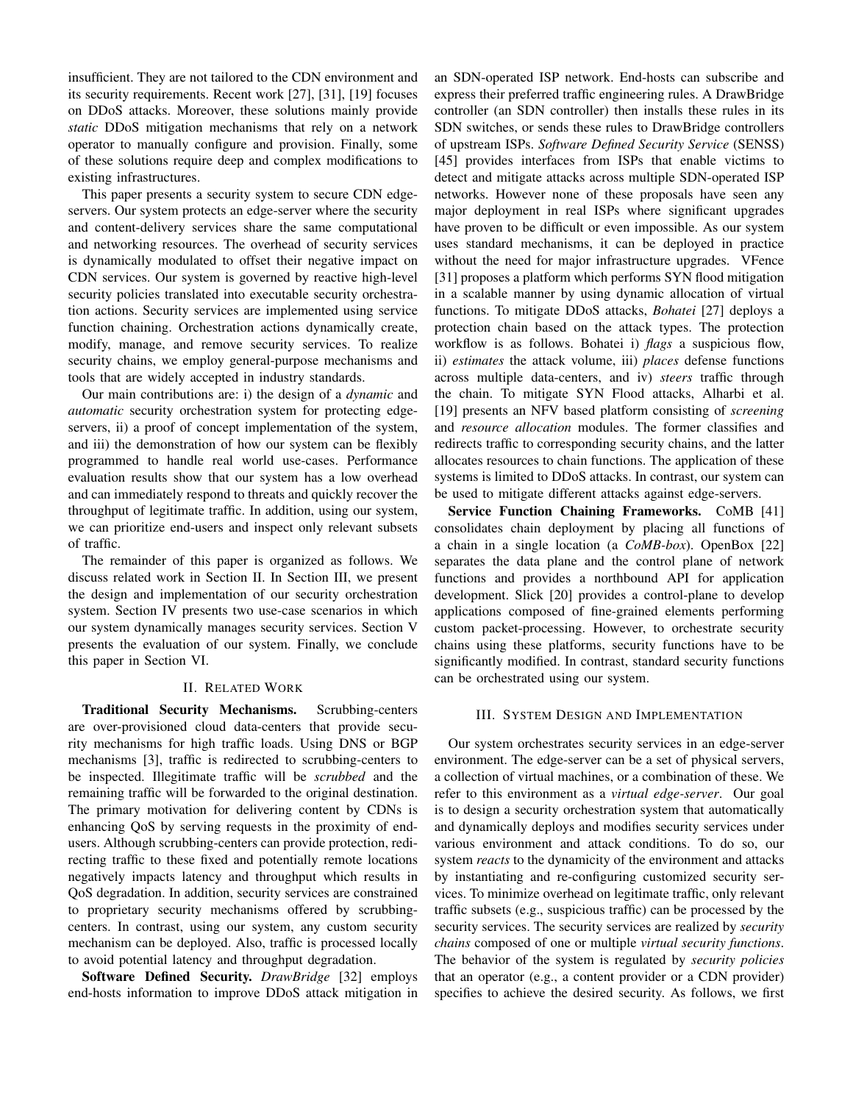insufficient. They are not tailored to the CDN environment and its security requirements. Recent work [27], [31], [19] focuses on DDoS attacks. Moreover, these solutions mainly provide *static* DDoS mitigation mechanisms that rely on a network operator to manually configure and provision. Finally, some of these solutions require deep and complex modifications to existing infrastructures.

This paper presents a security system to secure CDN edgeservers. Our system protects an edge-server where the security and content-delivery services share the same computational and networking resources. The overhead of security services is dynamically modulated to offset their negative impact on CDN services. Our system is governed by reactive high-level security policies translated into executable security orchestration actions. Security services are implemented using service function chaining. Orchestration actions dynamically create, modify, manage, and remove security services. To realize security chains, we employ general-purpose mechanisms and tools that are widely accepted in industry standards.

Our main contributions are: i) the design of a *dynamic* and *automatic* security orchestration system for protecting edgeservers, ii) a proof of concept implementation of the system, and iii) the demonstration of how our system can be flexibly programmed to handle real world use-cases. Performance evaluation results show that our system has a low overhead and can immediately respond to threats and quickly recover the throughput of legitimate traffic. In addition, using our system, we can prioritize end-users and inspect only relevant subsets of traffic.

The remainder of this paper is organized as follows. We discuss related work in Section II. In Section III, we present the design and implementation of our security orchestration system. Section IV presents two use-case scenarios in which our system dynamically manages security services. Section V presents the evaluation of our system. Finally, we conclude this paper in Section VI.

# II. RELATED WORK

Traditional Security Mechanisms. Scrubbing-centers are over-provisioned cloud data-centers that provide security mechanisms for high traffic loads. Using DNS or BGP mechanisms [3], traffic is redirected to scrubbing-centers to be inspected. Illegitimate traffic will be *scrubbed* and the remaining traffic will be forwarded to the original destination. The primary motivation for delivering content by CDNs is enhancing QoS by serving requests in the proximity of endusers. Although scrubbing-centers can provide protection, redirecting traffic to these fixed and potentially remote locations negatively impacts latency and throughput which results in QoS degradation. In addition, security services are constrained to proprietary security mechanisms offered by scrubbingcenters. In contrast, using our system, any custom security mechanism can be deployed. Also, traffic is processed locally to avoid potential latency and throughput degradation.

Software Defined Security. *DrawBridge* [32] employs end-hosts information to improve DDoS attack mitigation in an SDN-operated ISP network. End-hosts can subscribe and express their preferred traffic engineering rules. A DrawBridge controller (an SDN controller) then installs these rules in its SDN switches, or sends these rules to DrawBridge controllers of upstream ISPs. *Software Defined Security Service* (SENSS) [45] provides interfaces from ISPs that enable victims to detect and mitigate attacks across multiple SDN-operated ISP networks. However none of these proposals have seen any major deployment in real ISPs where significant upgrades have proven to be difficult or even impossible. As our system uses standard mechanisms, it can be deployed in practice without the need for major infrastructure upgrades. VFence [31] proposes a platform which performs SYN flood mitigation in a scalable manner by using dynamic allocation of virtual functions. To mitigate DDoS attacks, *Bohatei* [27] deploys a protection chain based on the attack types. The protection workflow is as follows. Bohatei i) *flags* a suspicious flow, ii) *estimates* the attack volume, iii) *places* defense functions across multiple data-centers, and iv) *steers* traffic through the chain. To mitigate SYN Flood attacks, Alharbi et al. [19] presents an NFV based platform consisting of *screening* and *resource allocation* modules. The former classifies and redirects traffic to corresponding security chains, and the latter allocates resources to chain functions. The application of these systems is limited to DDoS attacks. In contrast, our system can be used to mitigate different attacks against edge-servers.

Service Function Chaining Frameworks. CoMB [41] consolidates chain deployment by placing all functions of a chain in a single location (a *CoMB-box*). OpenBox [22] separates the data plane and the control plane of network functions and provides a northbound API for application development. Slick [20] provides a control-plane to develop applications composed of fine-grained elements performing custom packet-processing. However, to orchestrate security chains using these platforms, security functions have to be significantly modified. In contrast, standard security functions can be orchestrated using our system.

## III. SYSTEM DESIGN AND IMPLEMENTATION

Our system orchestrates security services in an edge-server environment. The edge-server can be a set of physical servers, a collection of virtual machines, or a combination of these. We refer to this environment as a *virtual edge-server*. Our goal is to design a security orchestration system that automatically and dynamically deploys and modifies security services under various environment and attack conditions. To do so, our system *reacts* to the dynamicity of the environment and attacks by instantiating and re-configuring customized security services. To minimize overhead on legitimate traffic, only relevant traffic subsets (e.g., suspicious traffic) can be processed by the security services. The security services are realized by *security chains* composed of one or multiple *virtual security functions*. The behavior of the system is regulated by *security policies* that an operator (e.g., a content provider or a CDN provider) specifies to achieve the desired security. As follows, we first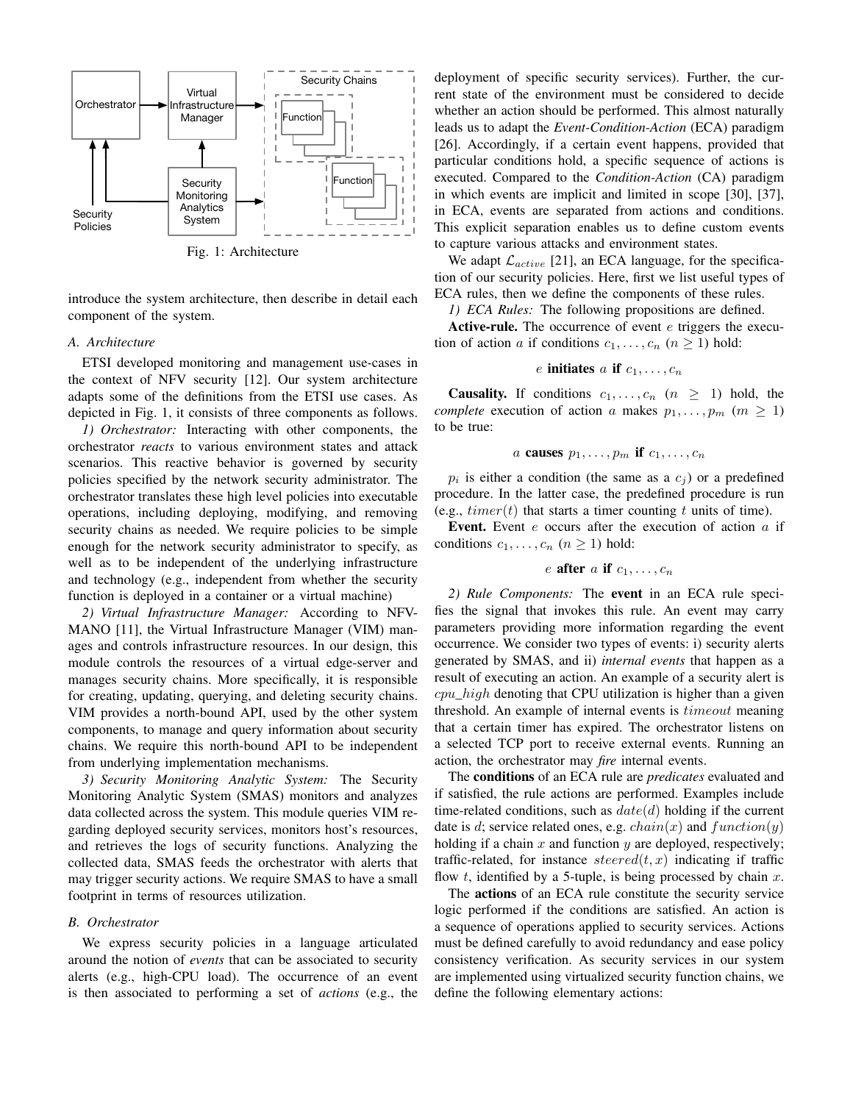

introduce the system architecture, then describe in detail each component of the system.

# *A. Architecture*

ETSI developed monitoring and management use-cases in the context of NFV security [12]. Our system architecture adapts some of the definitions from the ETSI use cases. As depicted in Fig. 1, it consists of three components as follows.

*1) Orchestrator:* Interacting with other components, the orchestrator *reacts* to various environment states and attack scenarios. This reactive behavior is governed by security policies specified by the network security administrator. The orchestrator translates these high level policies into executable operations, including deploying, modifying, and removing security chains as needed. We require policies to be simple enough for the network security administrator to specify, as well as to be independent of the underlying infrastructure and technology (e.g., independent from whether the security function is deployed in a container or a virtual machine)

*2) Virtual Infrastructure Manager:* According to NFV-MANO [11], the Virtual Infrastructure Manager (VIM) manages and controls infrastructure resources. In our design, this module controls the resources of a virtual edge-server and manages security chains. More specifically, it is responsible for creating, updating, querying, and deleting security chains. VIM provides a north-bound API, used by the other system components, to manage and query information about security chains. We require this north-bound API to be independent from underlying implementation mechanisms.

*3) Security Monitoring Analytic System:* The Security Monitoring Analytic System (SMAS) monitors and analyzes data collected across the system. This module queries VIM regarding deployed security services, monitors host's resources, and retrieves the logs of security functions. Analyzing the collected data, SMAS feeds the orchestrator with alerts that may trigger security actions. We require SMAS to have a small footprint in terms of resources utilization.

## *B. Orchestrator*

We express security policies in a language articulated around the notion of *events* that can be associated to security alerts (e.g., high-CPU load). The occurrence of an event is then associated to performing a set of *actions* (e.g., the

deployment of specific security services). Further, the current state of the environment must be considered to decide whether an action should be performed. This almost naturally leads us to adapt the *Event-Condition-Action* (ECA) paradigm [26]. Accordingly, if a certain event happens, provided that particular conditions hold, a specific sequence of actions is executed. Compared to the *Condition-Action* (CA) paradigm in which events are implicit and limited in scope [30], [37], in ECA, events are separated from actions and conditions. This explicit separation enables us to define custom events to capture various attacks and environment states.

We adapt  $\mathcal{L}_{active}$  [21], an ECA language, for the specification of our security policies. Here, first we list useful types of ECA rules, then we define the components of these rules.

*1) ECA Rules:* The following propositions are defined.

Active-rule. The occurrence of event  $e$  triggers the execution of action a if conditions  $c_1, \ldots, c_n$   $(n \ge 1)$  hold:

# e initiates a if  $c_1, \ldots, c_n$

**Causality.** If conditions  $c_1, \ldots, c_n$   $(n \geq 1)$  hold, the *complete* execution of action a makes  $p_1, \ldots, p_m$  ( $m \geq 1$ ) to be true:

a causes 
$$
p_1, \ldots, p_m
$$
 if  $c_1, \ldots, c_n$ 

 $p_i$  is either a condition (the same as a  $c_j$ ) or a predefined procedure. In the latter case, the predefined procedure is run (e.g.,  $timer(t)$  that starts a timer counting t units of time).

Event. Event  $e$  occurs after the execution of action  $a$  if conditions  $c_1, \ldots, c_n$   $(n \ge 1)$  hold:

e after a if 
$$
c_1, \ldots, c_n
$$

*2) Rule Components:* The event in an ECA rule specifies the signal that invokes this rule. An event may carry parameters providing more information regarding the event occurrence. We consider two types of events: i) security alerts generated by SMAS, and ii) *internal events* that happen as a result of executing an action. An example of a security alert is  $cpu\_high$  denoting that CPU utilization is higher than a given threshold. An example of internal events is timeout meaning that a certain timer has expired. The orchestrator listens on a selected TCP port to receive external events. Running an action, the orchestrator may *fire* internal events.

The conditions of an ECA rule are *predicates* evaluated and if satisfied, the rule actions are performed. Examples include time-related conditions, such as  $date(d)$  holding if the current date is d; service related ones, e.g.  $chain(x)$  and  $function(y)$ holding if a chain  $x$  and function  $y$  are deployed, respectively; traffic-related, for instance  $steered(t, x)$  indicating if traffic flow t, identified by a 5-tuple, is being processed by chain  $x$ .

The actions of an ECA rule constitute the security service logic performed if the conditions are satisfied. An action is a sequence of operations applied to security services. Actions must be defined carefully to avoid redundancy and ease policy consistency verification. As security services in our system are implemented using virtualized security function chains, we define the following elementary actions: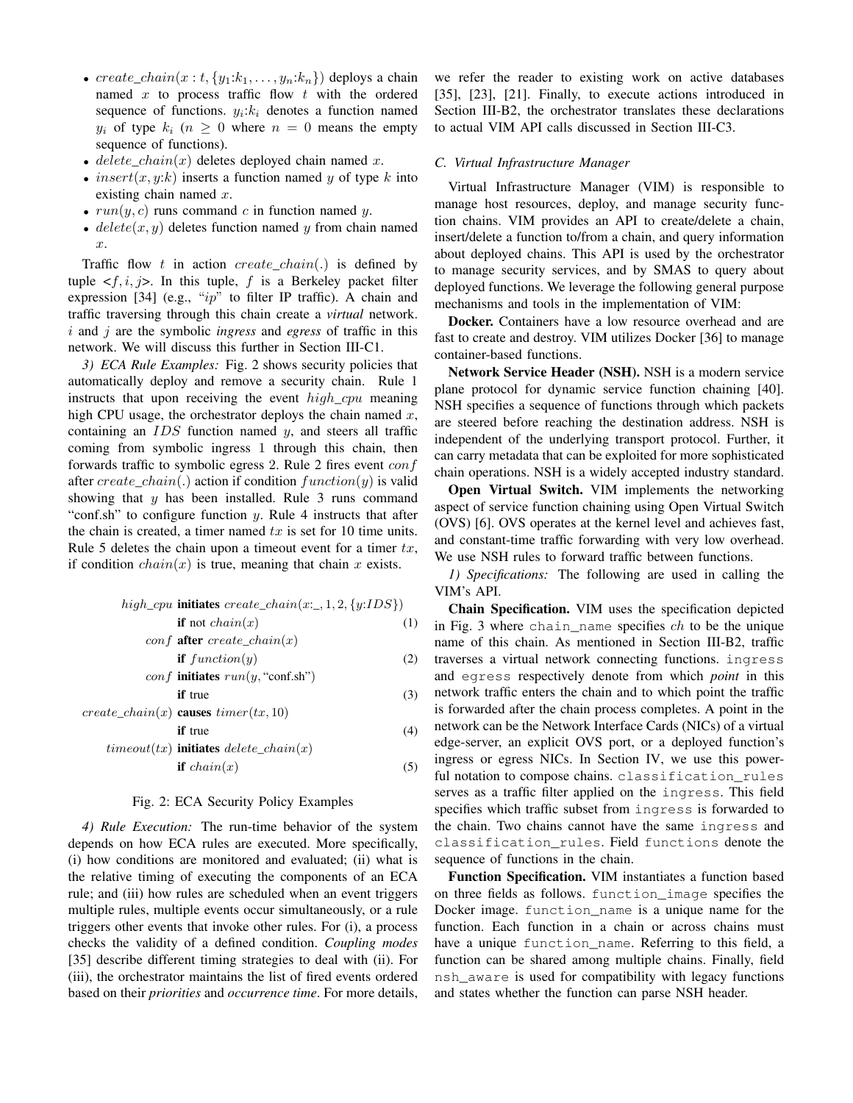- create\_chain(x : t, {y<sub>1</sub>: $k_1, \ldots, y_n: k_n$ }) deploys a chain named x to process traffic flow  $t$  with the ordered sequence of functions.  $y_i:k_i$  denotes a function named  $y_i$  of type  $k_i$  ( $n \geq 0$  where  $n = 0$  means the empty sequence of functions).
- delete\_chain(x) deletes deployed chain named x.
- insert $(x, y: k)$  inserts a function named y of type k into existing chain named  $x$ .
- $run(y, c)$  runs command c in function named y.
- $delete(x, y)$  deletes function named y from chain named x.

Traffic flow t in action create chain(.) is defined by tuple  $\langle f, i, j \rangle$ . In this tuple, f is a Berkeley packet filter expression [34] (e.g., " $ip$ " to filter IP traffic). A chain and traffic traversing through this chain create a *virtual* network. i and j are the symbolic *ingress* and *egress* of traffic in this network. We will discuss this further in Section III-C1.

*3) ECA Rule Examples:* Fig. 2 shows security policies that automatically deploy and remove a security chain. Rule 1 instructs that upon receiving the event  $high\_cpu$  meaning high CPU usage, the orchestrator deploys the chain named  $x$ , containing an  $IDS$  function named  $y$ , and steers all traffic coming from symbolic ingress 1 through this chain, then forwards traffic to symbolic egress 2. Rule 2 fires event  $\text{conf}$ after create chain(.) action if condition function(y) is valid showing that  $y$  has been installed. Rule 3 runs command "conf.sh" to configure function  $y$ . Rule 4 instructs that after the chain is created, a timer named  $tx$  is set for 10 time units. Rule 5 deletes the chain upon a timeout event for a timer  $tx$ , if condition  $chain(x)$  is true, meaning that chain x exists.

high\\_cpu **initiates** 
$$
create\_chain(x:, 1, 2, \{y:IDS\})
$$
  
if not  $chain(x)$  (1)

$$
conf \text{ after } create\_chain(x)
$$
  
if  $function(y)$  (2)

$$
conf \text{ initiates } run(y, \text{``conf.sh''})
$$
  
if true\n(3)

 $if true$  (4)

$$
create\_chain(x) \text{ causes } timer(tx, 10)
$$

$$
timeout(tx) \text{ initiates} \text{ delete\_chain}(x) \n\text{if } chain(x) \tag{5}
$$

# Fig. 2: ECA Security Policy Examples

*4) Rule Execution:* The run-time behavior of the system depends on how ECA rules are executed. More specifically, (i) how conditions are monitored and evaluated; (ii) what is the relative timing of executing the components of an ECA rule; and (iii) how rules are scheduled when an event triggers multiple rules, multiple events occur simultaneously, or a rule triggers other events that invoke other rules. For (i), a process checks the validity of a defined condition. *Coupling modes* [35] describe different timing strategies to deal with (ii). For (iii), the orchestrator maintains the list of fired events ordered based on their *priorities* and *occurrence time*. For more details,

we refer the reader to existing work on active databases [35], [23], [21]. Finally, to execute actions introduced in Section III-B2, the orchestrator translates these declarations to actual VIM API calls discussed in Section III-C3.

# *C. Virtual Infrastructure Manager*

Virtual Infrastructure Manager (VIM) is responsible to manage host resources, deploy, and manage security function chains. VIM provides an API to create/delete a chain, insert/delete a function to/from a chain, and query information about deployed chains. This API is used by the orchestrator to manage security services, and by SMAS to query about deployed functions. We leverage the following general purpose mechanisms and tools in the implementation of VIM:

Docker. Containers have a low resource overhead and are fast to create and destroy. VIM utilizes Docker [36] to manage container-based functions.

Network Service Header (NSH). NSH is a modern service plane protocol for dynamic service function chaining [40]. NSH specifies a sequence of functions through which packets are steered before reaching the destination address. NSH is independent of the underlying transport protocol. Further, it can carry metadata that can be exploited for more sophisticated chain operations. NSH is a widely accepted industry standard.

Open Virtual Switch. VIM implements the networking aspect of service function chaining using Open Virtual Switch (OVS) [6]. OVS operates at the kernel level and achieves fast, and constant-time traffic forwarding with very low overhead. We use NSH rules to forward traffic between functions.

*1) Specifications:* The following are used in calling the VIM's API.

Chain Specification. VIM uses the specification depicted in Fig. 3 where chain\_name specifies  $ch$  to be the unique name of this chain. As mentioned in Section III-B2, traffic traverses a virtual network connecting functions. ingress and egress respectively denote from which *point* in this network traffic enters the chain and to which point the traffic is forwarded after the chain process completes. A point in the network can be the Network Interface Cards (NICs) of a virtual edge-server, an explicit OVS port, or a deployed function's ingress or egress NICs. In Section IV, we use this powerful notation to compose chains. classification rules serves as a traffic filter applied on the ingress. This field specifies which traffic subset from ingress is forwarded to the chain. Two chains cannot have the same ingress and classification\_rules. Field functions denote the sequence of functions in the chain.

Function Specification. VIM instantiates a function based on three fields as follows. function\_image specifies the Docker image. function\_name is a unique name for the function. Each function in a chain or across chains must have a unique function\_name. Referring to this field, a function can be shared among multiple chains. Finally, field nsh\_aware is used for compatibility with legacy functions and states whether the function can parse NSH header.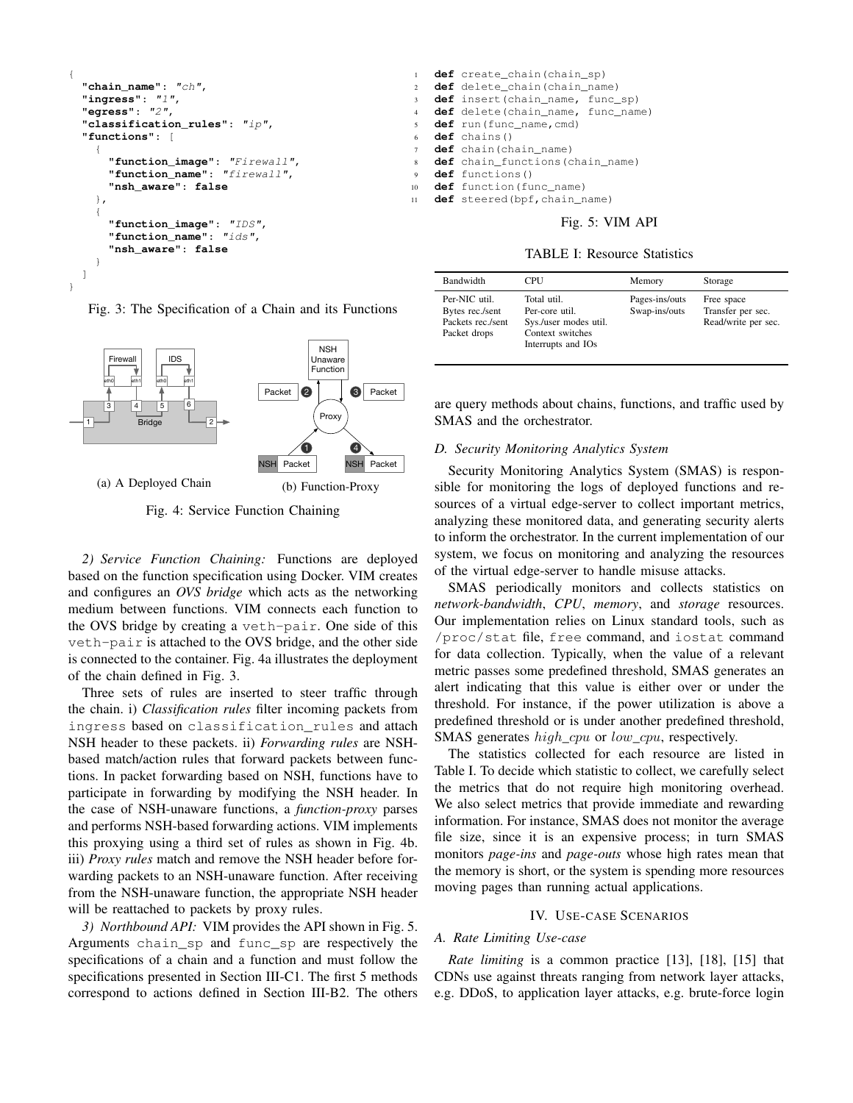```
{
 "chain_name": "ch",
"ingress": "1",
 "egress": "2",
 "classification_rules": "ip",
 "functions": [
   {
     "function_image": "Firewall",
     "function_name": "firewall",
     "nsh_aware": false
   },
   {
     "function_image": "IDS",
     "function_name": "ids",
     "nsh_aware": false
   }
]
```
}

Fig. 3: The Specification of a Chain and its Functions



Fig. 4: Service Function Chaining

*2) Service Function Chaining:* Functions are deployed based on the function specification using Docker. VIM creates and configures an *OVS bridge* which acts as the networking medium between functions. VIM connects each function to the OVS bridge by creating a veth-pair. One side of this veth-pair is attached to the OVS bridge, and the other side is connected to the container. Fig. 4a illustrates the deployment of the chain defined in Fig. 3.

Three sets of rules are inserted to steer traffic through the chain. i) *Classification rules* filter incoming packets from ingress based on classification\_rules and attach NSH header to these packets. ii) *Forwarding rules* are NSHbased match/action rules that forward packets between functions. In packet forwarding based on NSH, functions have to participate in forwarding by modifying the NSH header. In the case of NSH-unaware functions, a *function-proxy* parses and performs NSH-based forwarding actions. VIM implements this proxying using a third set of rules as shown in Fig. 4b. iii) *Proxy rules* match and remove the NSH header before forwarding packets to an NSH-unaware function. After receiving from the NSH-unaware function, the appropriate NSH header will be reattached to packets by proxy rules.

*3) Northbound API:* VIM provides the API shown in Fig. 5. Arguments chain\_sp and func\_sp are respectively the specifications of a chain and a function and must follow the specifications presented in Section III-C1. The first 5 methods correspond to actions defined in Section III-B2. The others

- <sup>1</sup> **def** create\_chain(chain\_sp) <sup>2</sup> **def** delete\_chain(chain\_name) <sup>3</sup> **def** insert(chain\_name, func\_sp) <sup>4</sup> **def** delete(chain\_name, func\_name) <sup>5</sup> **def** run(func\_name,cmd) def chains() <sup>7</sup> **def** chain(chain\_name)
- <sup>8</sup> **def** chain\_functions(chain\_name)
- <sup>9</sup> **def** functions()
- <sup>10</sup> **def** function(func\_name)
- <sup>11</sup> **def** steered(bpf,chain\_name)

## Fig. 5: VIM API

# TABLE I: Resource Statistics

| Bandwidth                                                             | CPU                                                                                              | Memory                          | Storage                                                |
|-----------------------------------------------------------------------|--------------------------------------------------------------------------------------------------|---------------------------------|--------------------------------------------------------|
| Per-NIC util.<br>Bytes rec./sent<br>Packets rec./sent<br>Packet drops | Total util.<br>Per-core util.<br>Sys./user modes util.<br>Context switches<br>Interrupts and IOs | Pages-ins/outs<br>Swap-ins/outs | Free space<br>Transfer per sec.<br>Read/write per sec. |

are query methods about chains, functions, and traffic used by SMAS and the orchestrator.

## *D. Security Monitoring Analytics System*

Security Monitoring Analytics System (SMAS) is responsible for monitoring the logs of deployed functions and resources of a virtual edge-server to collect important metrics, analyzing these monitored data, and generating security alerts to inform the orchestrator. In the current implementation of our system, we focus on monitoring and analyzing the resources of the virtual edge-server to handle misuse attacks.

SMAS periodically monitors and collects statistics on *network-bandwidth*, *CPU*, *memory*, and *storage* resources. Our implementation relies on Linux standard tools, such as /proc/stat file, free command, and iostat command for data collection. Typically, when the value of a relevant metric passes some predefined threshold, SMAS generates an alert indicating that this value is either over or under the threshold. For instance, if the power utilization is above a predefined threshold or is under another predefined threshold, SMAS generates *high cpu* or *low cpu*, respectively.

The statistics collected for each resource are listed in Table I. To decide which statistic to collect, we carefully select the metrics that do not require high monitoring overhead. We also select metrics that provide immediate and rewarding information. For instance, SMAS does not monitor the average file size, since it is an expensive process; in turn SMAS monitors *page-ins* and *page-outs* whose high rates mean that the memory is short, or the system is spending more resources moving pages than running actual applications.

#### IV. USE-CASE SCENARIOS

# *A. Rate Limiting Use-case*

*Rate limiting* is a common practice [13], [18], [15] that CDNs use against threats ranging from network layer attacks, e.g. DDoS, to application layer attacks, e.g. brute-force login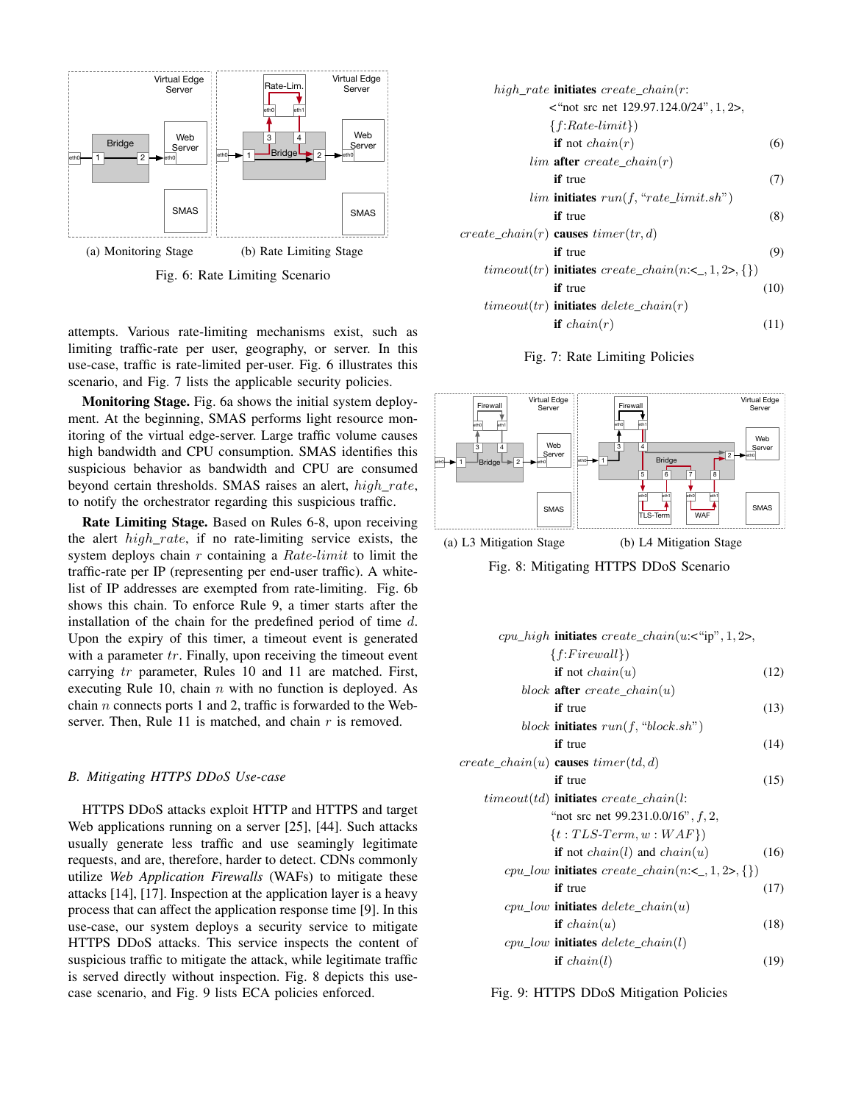

Fig. 6: Rate Limiting Scenario

attempts. Various rate-limiting mechanisms exist, such as limiting traffic-rate per user, geography, or server. In this use-case, traffic is rate-limited per-user. Fig. 6 illustrates this scenario, and Fig. 7 lists the applicable security policies.

Monitoring Stage. Fig. 6a shows the initial system deployment. At the beginning, SMAS performs light resource monitoring of the virtual edge-server. Large traffic volume causes high bandwidth and CPU consumption. SMAS identifies this suspicious behavior as bandwidth and CPU are consumed beyond certain thresholds. SMAS raises an alert, high rate, to notify the orchestrator regarding this suspicious traffic.

Rate Limiting Stage. Based on Rules 6-8, upon receiving the alert  $high\_rate$ , if no rate-limiting service exists, the system deploys chain r containing a Rate-limit to limit the traffic-rate per IP (representing per end-user traffic). A whitelist of IP addresses are exempted from rate-limiting. Fig. 6b shows this chain. To enforce Rule 9, a timer starts after the installation of the chain for the predefined period of time  $d$ . Upon the expiry of this timer, a timeout event is generated with a parameter  $tr$ . Finally, upon receiving the timeout event carrying tr parameter, Rules 10 and 11 are matched. First, executing Rule 10, chain  $n$  with no function is deployed. As chain  $n$  connects ports 1 and 2, traffic is forwarded to the Webserver. Then, Rule 11 is matched, and chain  $r$  is removed.

# *B. Mitigating HTTPS DDoS Use-case*

HTTPS DDoS attacks exploit HTTP and HTTPS and target Web applications running on a server [25], [44]. Such attacks usually generate less traffic and use seamingly legitimate requests, and are, therefore, harder to detect. CDNs commonly utilize *Web Application Firewalls* (WAFs) to mitigate these attacks [14], [17]. Inspection at the application layer is a heavy process that can affect the application response time [9]. In this use-case, our system deploys a security service to mitigate HTTPS DDoS attacks. This service inspects the content of suspicious traffic to mitigate the attack, while legitimate traffic is served directly without inspection. Fig. 8 depicts this usecase scenario, and Fig. 9 lists ECA policies enforced.

| $high\_rate$ initiates create_chain(r:                               |      |
|----------------------------------------------------------------------|------|
| $\epsilon$ "not src net 129.97.124.0/24", 1, 2>,                     |      |
| $\{f:Rate-limit\})$                                                  |      |
| <b>if</b> not <i>chain</i> $(r)$                                     | (6)  |
| $lim$ after create chain $(r)$                                       |      |
| <b>if</b> true                                                       | (7)  |
| $lim$ initiates $run(f, "rate\_limit.sh")$                           |      |
| <b>if</b> true                                                       | (8)  |
| create_chain(r) <b>causes</b> timer(tr, d)                           |      |
| <b>if</b> true                                                       | (9)  |
| <i>timeout</i> ( <i>tr</i> ) initiates create_chain(n:<_, 1, 2>, {}) |      |
| <b>if</b> true                                                       | (10) |
| $timeout(tr)$ initiates delete_chain(r)                              |      |
| <b>if</b> $chain(r)$                                                 | (11) |





(a) L3 Mitigation Stage (b) L4 Mitigation Stage

Fig. 8: Mitigating HTTPS DDoS Scenario

| <i>cpu_high</i> initiates $create\_chain(u:<``ip", 1, 2>,$ |      |
|------------------------------------------------------------|------|
|                                                            |      |
| $\{f:Firewall\})$                                          |      |
| <b>if</b> not <i>chain</i> $(u)$                           | (12) |
| block after $create\_chain(u)$                             |      |
| <b>if</b> true                                             | (13) |
| block <b>initiates</b> $run(f, "block.sh")$                |      |
| if true                                                    | (14) |
| $create\_chain(u)$ causes $timer(td, d)$                   |      |
| <b>if</b> true                                             | (15) |
| $timeout(td)$ initiates create_chain(l:                    |      |
| "not src net $99.231.0.0/16$ ", $f$ , 2,                   |      |
| $\{t: TLS-Term, w: WAF\})$                                 |      |
| if not $chain(l)$ and $chain(u)$                           | (16) |
| $cpu\_low$ initiates $create\_chain(n:<_, 1, 2>, \{\})$    |      |
| <b>if</b> true                                             | (17) |
| $cpu\_low$ initiates delete_chain(u)                       |      |
| <b>if</b> $chain(u)$                                       | (18) |
| $cpu\_low$ initiates $delete\_chain(l)$                    |      |
| if $chain(l)$                                              | (19) |

Fig. 9: HTTPS DDoS Mitigation Policies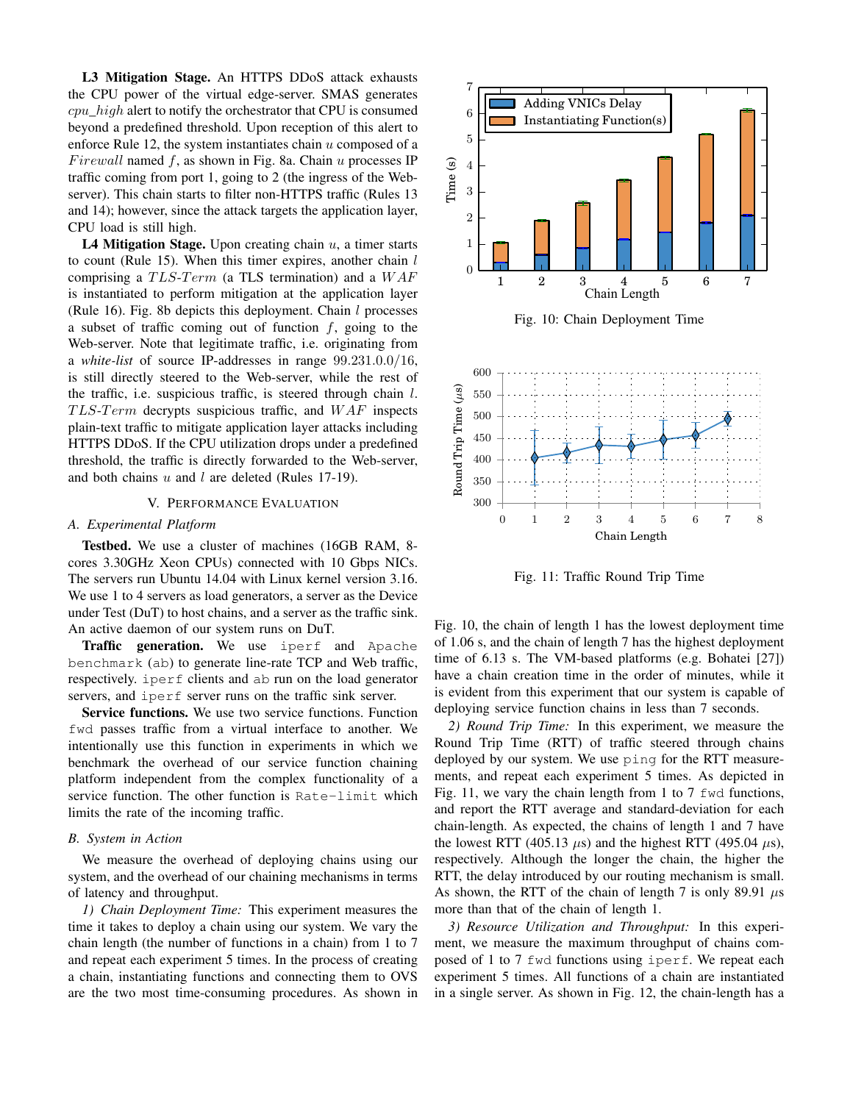L3 Mitigation Stage. An HTTPS DDoS attack exhausts the CPU power of the virtual edge-server. SMAS generates  $cpu\_high$  alert to notify the orchestrator that CPU is consumed beyond a predefined threshold. Upon reception of this alert to enforce Rule 12, the system instantiates chain  $u$  composed of a Firewall named  $f$ , as shown in Fig. 8a. Chain  $u$  processes IP traffic coming from port 1, going to 2 (the ingress of the Webserver). This chain starts to filter non-HTTPS traffic (Rules 13 and 14); however, since the attack targets the application layer, CPU load is still high.

L4 Mitigation Stage. Upon creating chain  $u$ , a timer starts to count (Rule 15). When this timer expires, another chain  $l$ comprising a  $TLS-Term$  (a TLS termination) and a  $WAF$ is instantiated to perform mitigation at the application layer (Rule 16). Fig. 8b depicts this deployment. Chain  $l$  processes a subset of traffic coming out of function  $f$ , going to the Web-server. Note that legitimate traffic, i.e. originating from a *white-list* of source IP-addresses in range 99.231.0.0/16, is still directly steered to the Web-server, while the rest of the traffic, i.e. suspicious traffic, is steered through chain  $l$ .  $TLS-Term$  decrypts suspicious traffic, and  $WAF$  inspects plain-text traffic to mitigate application layer attacks including HTTPS DDoS. If the CPU utilization drops under a predefined threshold, the traffic is directly forwarded to the Web-server, and both chains  $u$  and  $l$  are deleted (Rules 17-19).

# V. PERFORMANCE EVALUATION

## *A. Experimental Platform*

Testbed. We use a cluster of machines (16GB RAM, 8 cores 3.30GHz Xeon CPUs) connected with 10 Gbps NICs. The servers run Ubuntu 14.04 with Linux kernel version 3.16. We use 1 to 4 servers as load generators, a server as the Device under Test (DuT) to host chains, and a server as the traffic sink. An active daemon of our system runs on DuT.

**Traffic generation.** We use iperf and Apache benchmark (ab) to generate line-rate TCP and Web traffic, respectively. iperf clients and ab run on the load generator servers, and iperf server runs on the traffic sink server.

Service functions. We use two service functions. Function fwd passes traffic from a virtual interface to another. We intentionally use this function in experiments in which we benchmark the overhead of our service function chaining platform independent from the complex functionality of a service function. The other function is Rate-limit which limits the rate of the incoming traffic.

## *B. System in Action*

We measure the overhead of deploying chains using our system, and the overhead of our chaining mechanisms in terms of latency and throughput.

*1) Chain Deployment Time:* This experiment measures the time it takes to deploy a chain using our system. We vary the chain length (the number of functions in a chain) from 1 to 7 and repeat each experiment 5 times. In the process of creating a chain, instantiating functions and connecting them to OVS are the two most time-consuming procedures. As shown in



Fig. 11: Traffic Round Trip Time

Fig. 10, the chain of length 1 has the lowest deployment time of 1.06 s, and the chain of length 7 has the highest deployment time of 6.13 s. The VM-based platforms (e.g. Bohatei [27]) have a chain creation time in the order of minutes, while it is evident from this experiment that our system is capable of deploying service function chains in less than 7 seconds.

*2) Round Trip Time:* In this experiment, we measure the Round Trip Time (RTT) of traffic steered through chains deployed by our system. We use ping for the RTT measurements, and repeat each experiment 5 times. As depicted in Fig. 11, we vary the chain length from 1 to 7 fwd functions, and report the RTT average and standard-deviation for each chain-length. As expected, the chains of length 1 and 7 have the lowest RTT (405.13  $\mu$ s) and the highest RTT (495.04  $\mu$ s), respectively. Although the longer the chain, the higher the RTT, the delay introduced by our routing mechanism is small. As shown, the RTT of the chain of length 7 is only 89.91  $\mu$ s more than that of the chain of length 1.

*3) Resource Utilization and Throughput:* In this experiment, we measure the maximum throughput of chains composed of 1 to 7 fwd functions using iperf. We repeat each experiment 5 times. All functions of a chain are instantiated in a single server. As shown in Fig. 12, the chain-length has a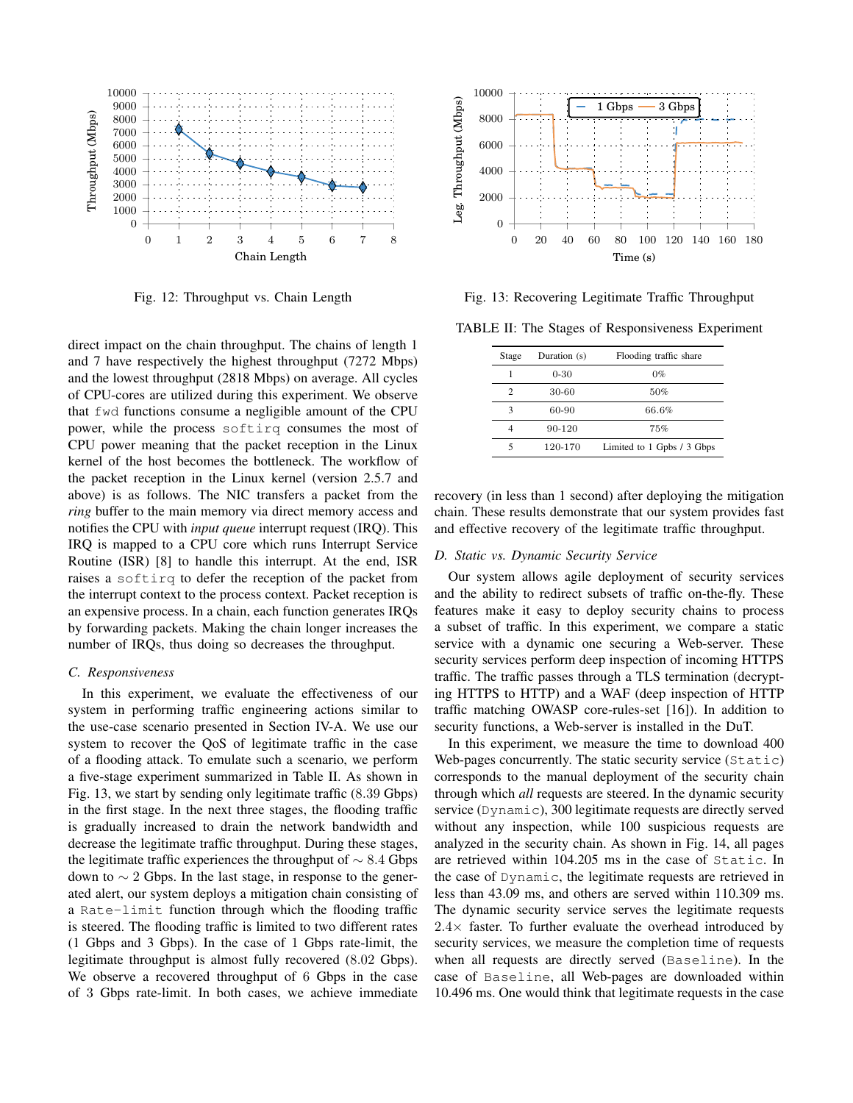

Fig. 12: Throughput vs. Chain Length

direct impact on the chain throughput. The chains of length 1 and 7 have respectively the highest throughput (7272 Mbps) and the lowest throughput (2818 Mbps) on average. All cycles of CPU-cores are utilized during this experiment. We observe that fwd functions consume a negligible amount of the CPU power, while the process softirq consumes the most of CPU power meaning that the packet reception in the Linux kernel of the host becomes the bottleneck. The workflow of the packet reception in the Linux kernel (version 2.5.7 and above) is as follows. The NIC transfers a packet from the *ring* buffer to the main memory via direct memory access and notifies the CPU with *input queue* interrupt request (IRQ). This IRQ is mapped to a CPU core which runs Interrupt Service Routine (ISR) [8] to handle this interrupt. At the end, ISR raises a softirq to defer the reception of the packet from the interrupt context to the process context. Packet reception is an expensive process. In a chain, each function generates IRQs by forwarding packets. Making the chain longer increases the number of IRQs, thus doing so decreases the throughput.

# *C. Responsiveness*

In this experiment, we evaluate the effectiveness of our system in performing traffic engineering actions similar to the use-case scenario presented in Section IV-A. We use our system to recover the QoS of legitimate traffic in the case of a flooding attack. To emulate such a scenario, we perform a five-stage experiment summarized in Table II. As shown in Fig. 13, we start by sending only legitimate traffic (8.39 Gbps) in the first stage. In the next three stages, the flooding traffic is gradually increased to drain the network bandwidth and decrease the legitimate traffic throughput. During these stages, the legitimate traffic experiences the throughput of  $\sim 8.4$  Gbps down to  $\sim$  2 Gbps. In the last stage, in response to the generated alert, our system deploys a mitigation chain consisting of a Rate-limit function through which the flooding traffic is steered. The flooding traffic is limited to two different rates (1 Gbps and 3 Gbps). In the case of 1 Gbps rate-limit, the legitimate throughput is almost fully recovered (8.02 Gbps). We observe a recovered throughput of 6 Gbps in the case of 3 Gbps rate-limit. In both cases, we achieve immediate



Fig. 13: Recovering Legitimate Traffic Throughput

TABLE II: The Stages of Responsiveness Experiment

| Stage | Duration (s) | Flooding traffic share     |
|-------|--------------|----------------------------|
| 1     | $0 - 30$     | $0\%$                      |
| 2     | 30-60        | 50%                        |
| 3     | 60-90        | 66.6%                      |
| 4     | 90-120       | 75%                        |
|       | 120-170      | Limited to 1 Gpbs / 3 Gbps |

recovery (in less than 1 second) after deploying the mitigation chain. These results demonstrate that our system provides fast and effective recovery of the legitimate traffic throughput.

## *D. Static vs. Dynamic Security Service*

Our system allows agile deployment of security services and the ability to redirect subsets of traffic on-the-fly. These features make it easy to deploy security chains to process a subset of traffic. In this experiment, we compare a static service with a dynamic one securing a Web-server. These security services perform deep inspection of incoming HTTPS traffic. The traffic passes through a TLS termination (decrypting HTTPS to HTTP) and a WAF (deep inspection of HTTP traffic matching OWASP core-rules-set [16]). In addition to security functions, a Web-server is installed in the DuT.

In this experiment, we measure the time to download 400 Web-pages concurrently. The static security service (Static) corresponds to the manual deployment of the security chain through which *all* requests are steered. In the dynamic security service (Dynamic), 300 legitimate requests are directly served without any inspection, while 100 suspicious requests are analyzed in the security chain. As shown in Fig. 14, all pages are retrieved within 104.205 ms in the case of Static. In the case of Dynamic, the legitimate requests are retrieved in less than 43.09 ms, and others are served within 110.309 ms. The dynamic security service serves the legitimate requests  $2.4\times$  faster. To further evaluate the overhead introduced by security services, we measure the completion time of requests when all requests are directly served (Baseline). In the case of Baseline, all Web-pages are downloaded within 10.496 ms. One would think that legitimate requests in the case